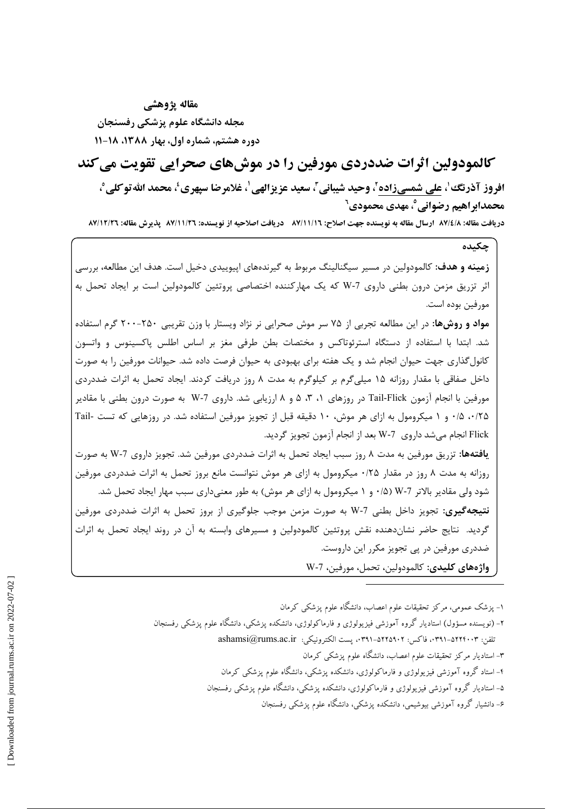مقاله يژوهشي مجله دانشگاه علوم یزشکی رفسنجان دوره هشتم، شماره اول، بهار ۱۳۸۸، ۱۸-۱۱

کالمودولین اثرات ضددردی مورفین را در موش های صحرایی تقویت می کند افروز آذرنگ ٰ، على شمسيزاده ٗ، وحيد شيباني ؒ، سعيد عزيزالهي ٰ، غلامرضا سيهري'، محمد الله تو كلي ْ، محمدابراهيم رضواني٬، مهدي محمودي٬

دريافت مقاله: 87/6/1، ارسال مقاله به نويسنده جهت اصلاح: 11/11/17، دريافت اصلاحيه از نويسنده: 87/11/17، پذيرش مقاله: 77/11/17،

چکىدە

**زمینه و هدف:** کالمودولین در مسیر سیگنالینگ مربوط به گیرندههای اپیوییدی دخیل است. هدف این مطالعه، بررسی اثر تزریق مزمن درون بطنی داروی V-7 که یک مهارکننده اختصاصی پروتئین کالمودولین است بر ایجاد تحمل به مورفين بوده است.

مواد و روشها: در این مطالعه تجربی از ۷۵ سر موش صحرایی نر نژاد ویستار با وزن تقریبی ۲۵۰-۲۰۰ گرم استفاده شد. ابتدا با استفاده از دستگاه استرئوتاکس و مختصات بطن طرفی مغز بر اساس اطلس پاکسینوس و واتسون کانول گذاری جهت حیوان انجام شد و یک هفته برای بهبودی به حیوان فرصت داده شد. حیوانات مورفین را به صورت داخل صفاقی با مقدار روزانه ۱۵ میلیگرم بر کیلوگرم به مدت ۸ روز دریافت کردند. ایجاد تحمل به اثرات ضددردی مورفین با انجام آزمون Tail-Flick در روزهای ۱، ۳، ۵ و ۸ ارزیابی شد. داروی 7-W به صورت درون بطنی با مقادیر ۰/۲۵ هـ/۰ و ۱ میکرومول به ازای هر موش، ۱۰ دقیقه قبل از تجویز مورفین استفاده شد. در روزهایی که تست -Tail Flick انجام مي شد داروي 7-W بعد از انجام أزمون تجويز گرديد.

**یافتهها:** تزریق مورفین به مدت ۸ روز سبب ایجاد تحمل به اثرات ضددردی مورفین شد. تجویز داروی 7-W به صورت روزانه به مدت ۸ روز در مقدار ۰/۲۵ میکرومول به ازای هر موش نتوانست مانع بروز تحمل به اثرات ضددردی مورفین شود ولي مقادير بالاتر 7-W (۵/ ۰ و ۱ ميكرومول به ازاي هر موش) به طور معنىداري سبب مهار ايجاد تحمل شد. **نتیجهگیری:** تجویز داخل بطنی W-7 به صورت مزمن موجب جلوگیری از بروز تحمل به اثرات ضددردی مورفین گردید. نتایج حاضر نشاندهنده نقش پروتئین کالمودولین و مسیرهای وابسته به آن در روند ایجاد تحمل به اثرات ضددری مورفین در پی تجویز مکرر این داروست. واژەهاي كليدى: كالمودولين، تحمل، مورفين، 7-W

١- يزشک عمومي، مرکز تحقيقات علوم اعصاب، دانشگاه علوم يزشکي کرمان

- ۲- (نویسنده مسؤول) استادیار گروه آموزشی فیزیولوژی و فارماکولوژی، دانشکده پزشکی، دانشگاه علوم پزشکی رفسنجان تلفن: ٢٩١٣-٥٢٢١ه-٣٩١، فاكس: ٥٢٢٥٩٠٢، ست الكترونيكي: ashamsi@rums.ac.ir
	- ۳- استادیار مرکز تحقیقات علوم اعصاب، دانشگاه علوم پزشکی کرمان
	- ۴- استاد گروه آموزشی فیزیولوژی و فارماکولوژی، دانشکده یزشکی، دانشگاه علوم یزشکی کرمان
	- ۵– استادیار گروه آموزشی فیزیولوژی و فارماکولوژی، دانشکده پزشکی، دانشگاه علوم پزشکی رفسنجان
		- ۶- دانشیار گروه آموزشی بیوشیمی، دانشکده پزشکی، دانشگاه علوم پزشکی رفسنجان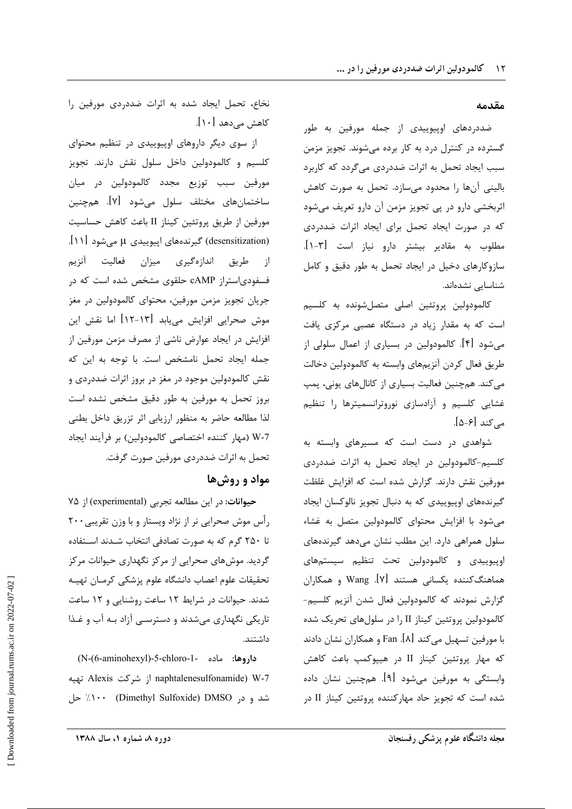#### مقدمه

ضددردهای اوپیوییدی از جمله مورفین به طور گسترده در کنترل درد به کار برده میشوند. تجویز مزمن سبب ایجاد تحمل به اثرات ضددردی میگردد که کاربرد باليني آنها را محدود ميسازد. تحمل به صورت كاهش اثربخشی دارو در پی تجویز مزمن آن دارو تعریف میشود که در صورت ایجاد تحمل برای ایجاد اثرات ضددردی مطلوب به مقادیر بیشتر دارو نیاز است [۳-۱]. سازوکارهای دخیل در ایجاد تحمل به طور دقیق و کامل شناسایی نشدهاند.

كالمودولين پروتئين اصلى متصلشونده به كلسيم است که به مقدار زیاد در دستگاه عصبی مرکزی یافت میشود [۴]. کالمودولین در بسیاری از اعمال سلولی از طريق فعال كردن آنزيمهاى وابسته به كالمودولين دخالت می کند. همچنین فعالیت بسیاری از کانالهای یونی، پمپ غشایی کلسیم و آزادسازی نوروترانسمیترها را تنظیم مے کند [۶–۵].

شواهدی در دست است که مسیرهای وابسته به کلسیم-کالمودولین در ایجاد تحمل به اثرات ضددردی مورفین نقش دارند. گزارش شده است که افزایش غلظت گیرندههای اوپیوییدی که به دنبال تجویز نالوکسان ایجاد می شود با افزایش محتوای کالمودولین متصل به غشاء سلول همراهی دارد. این مطلب نشان می دهد گیرندههای اوييوييدي و كالمودولين تحت تنظيم سيستمهاي هماهنگکننده یکسانی هستند [۷]. Wang و همکاران گزارش نمودند که کالمودولین فعال شدن آنزیم کلسیم-كالمودولين پروتئين كيناز II را در سلولهاي تحريك شده با مورفین تسهیل میکند [۸]. Fan و همکاران نشان دادند که مهار پروتئین کیناز II در هیپوکمپ باعث کاهش وابستگی به مورفین می,شود [۹]. همچنین نشان داده شده است که تجویز حاد مهارکننده پروتئین کیناز II در

نخاع، تحمل ایجاد شده به اثرات ضددردی مورفین را کاهش مے،دهد [۱۰].

از سوی دیگر داروهای اوپیوییدی در تنظیم محتوای كلسيم و كالمودولين داخل سلول نقش دارند. تجويز مورفین سبب توزیع مجدد کالمودولین در میان ساختمانهای مختلف سلول میشود [۷]. همچنین مورفين از طريق پروتئين كيناز II باعث كاهش حساسيت (desensitization) گیرندههای اپیوییدی µ میشود [۱۱]. اندازهگیری میزان فعالیت آنزیم طريق از فسفودیاستراز cAMP حلقوی مشخص شده است که در جریان تجویز مزمن مورفین، محتوای کالمودولین در مغز موش صحرایی افزایش مییابد [۱۳-۱۲] اما نقش این افزایش در ایجاد عوارض ناشی از مصرف مزمن مورفین از جمله ایجاد تحمل نامشخص است. با توجه به این که نقش کالمودولین موجود در مغز در بروز اثرات ضددردی و بروز تحمل به مورفین به طور دقیق مشخص نشده است لذا مطالعه حاضر به منظور ارزيابي اثر تزريق داخل بطني 7-W (مهار كننده اختصاصي كالمودولين) بر فرآيند ايجاد تحمل به اثرات ضددردی مورفین صورت گرفت.

### مواد و روش ها

حیوانات: در این مطالعه تجربی (experimental) از ۷۵ رأس موش صحرایی نر از نژاد ویستار و با وزن تقریبی۲۰۰ تا ۲۵۰ گرم که به صورت تصادفی انتخاب شـدند اسـتفاده گردید. موشهای صحرایی از مرکز نگهداری حیوانات مرکز تحقيقات علوم اعصاب دانشگاه علوم پزشكي كرمـان تهيــه شدند. حیوانات در شرایط ۱۲ ساعت روشنایی و ۱۲ ساعت تاریکی نگهداری میشدند و دسترسـی آزاد بـه آب و غـذا داشتند.

داروها: ماده -1-f-chloro-1-old -0-aminohexyl) naphtalenesulfonamide) W-7 از شركت Alexis تهيه شد و در Dimethyl Sulfoxide) DMSO جل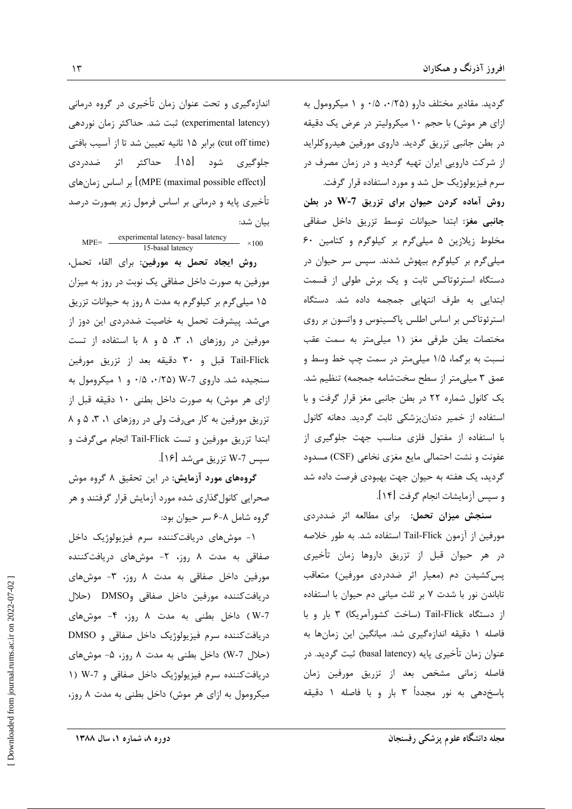گردید. مقادیر مختلف دارو (۰/۲۵ ه/۰ و ۱ میکرومول به ازای هر موش) با حجم ۱۰ میکرولیتر در عرض یک دقیقه در بطن جانبی تزریق گردید. داروی مورفین هیدروکلراید از شرکت دارویی ایران تهیه گردید و در زمان مصرف در سرم فیزیولوژیک حل شد و مورد استفاده قرار گرفت.

روش آماده کردن حیوان برای تزریق W-7 در بطن جانبی مغز: ابتدا حیوانات توسط تزریق داخل صفاقی مخلوط زیلازین ۵ میلیگرم بر کیلوگرم و کتامین ۶۰ میلیگرم بر کیلوگرم بیهوش شدند. سپس سر حیوان در دستگاه استرئوتاکس ثابت و یک برش طولی از قسمت ابتدایی به طرف انتهایی جمجمه داده شد. دستگاه استرئوتاکس بر اساس اطلس پاکسینوس و واتسون بر روی مختصات بطن طرفی مغز (۱ میلی متر به سمت عقب نسبت به برگما، ۱/۵ میلیمتر در سمت چپ خط وسط و عمق ٣ ميلي متر از سطح سختشامه جمجمه) تنظيم شد. یک کانول شماره ٢٢ در بطن جانبی مغز قرار گرفت و با استفاده از خمیر دندانپزشکی ثابت گردید. دهانه کانول با استفاده از مفتول فلزی مناسب جهت جلوگیری از عفونت و نشت احتمالي مايع مغزى نخاعي (CSF) مسدود گردید، یک هفته به حیوان جهت بهبودی فرصت داده شد و سپس آزمایشات انجام گرفت [۱۴].

**سنجش میزان تحمل:** برای مطالعه اثر ضددردی مورفين از آزمون Tail-Flick استفاده شد. به طور خلاصه در هر حیوان قبل از تزریق داروها زمان تأخیری پس کشیدن دم (معیار اثر ضددردی مورفین) متعاقب تاباندن نور با شدت ۷ بر ثلث میانی دم حیوان با استفاده از دستگاه Tail-Flick (ساخت کشورآمریکا) ۳ بار و با فاصله ۱ دقیقه اندازهگیری شد. میانگین این زمانها به عنوان زمان تأخيري پايه (basal latency) ثبت گرديد. در فاصله زماني مشخص بعد از تزريق مورفين زمان پاسخدهی به نور مجدداً ۳ بار و با فاصله ۱ دقیقه

اندازهگیری و تحت عنوان زمان تأخیری در گروه درمانی (experimental latency) ثبت شد. حداکثر زمان نوردهی (cut off time) برابر ١۵ ثانيه تعيين شد تا از آسيب بافتى جلوگیری شود [۱۵]. حداکثر اثر ضددردی [(MPE (maximal possible effect)] بر اساس زمان های تأخیری پایه و درمانی بر اساس فرمول زیر بصورت درصد بیان شد:

 $MPE =$  experimental latency-basal latency  $\times 100$ 15-basal latency روش ايجاد تحمل به مورفين: براي القاء تحمل، مورفین به صورت داخل صفاقی یک نوبت در روز به میزان ۱۵ میلی گرم بر کیلوگرم به مدت ۸ روز به حیوانات تزریق می شد. پیشرفت تحمل به خاصیت ضددردی این دوز از مورفین در روزهای ۰، ۳، ۵ و ۸ با استفاده از تست Tail-Flick قبل و ۳۰ دقیقه بعد از تزریق مورفین سنجیده شد. داروی W-7 (۰/۲۵ ۰/۸ و ۱ میکرومول به ازای هر موش) به صورت داخل بطنی ۱۰ دقیقه قبل از تزریق مورفین به کار میرفت ولی در روزهای ۰، ۳، ۵ و ۸ ابتدا تزریق مورفین و تست Tail-Flick انجام میگرفت و سپس 7-W تزریق می,شد [۱۶].

گروههای مورد آزمایش: در این تحقیق ۸ گروه موش صحرایی کانول گذاری شده مورد آزمایش قرار گرفتند و هر گروه شامل ۸-۶ سر حیوان بود:

۱- موشهای دریافتکننده سرم فیزیولوژیک داخل صفاقی به مدت ۸ روز، ۲− موشهای دریافتکننده مورفین داخل صفاقی به مدت ۸ روز، ۳- موشهای دريافت كننده مورفين داخل صفاقي وDMSO (حلال W-7) داخل بطنی به مدت ۸ روز، ۴- موشهای دریافت *کننده* سرم فیزیولوژیک داخل صفاقی و DMSO (حلال 7-W) داخل بطنی به مدت ۸ روز، ۵- موشهای دریافت کننده سرم فیزیولوژیک داخل صفاقی و 7-W (۱ میکرومول به ازای هر موش) داخل بطنی به مدت ۸ روز،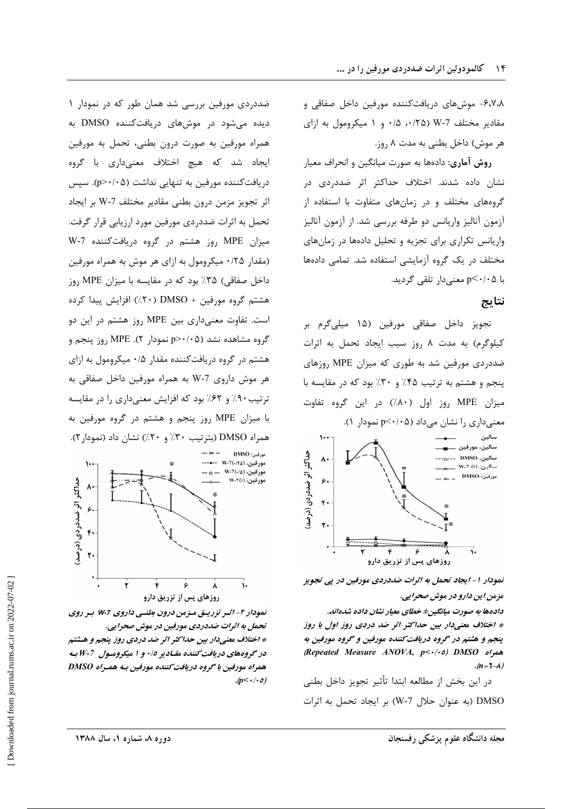۶٬۷٬۸– موش های دریافت کننده مورفین داخل صفاقی و مقادیر مختلف 7-W (۰/۲۵، ۰/۵) و ۱ میکرومول به ازای هر موش) داخل بطنی به مدت ۸ روز.

روش آماری: دادهها به صورت میانگین و انحراف معیار نشان داده شدند. اختلاف حداکثر اثر ضددردی در گروههای مختلف و در زمانهای متفاوت با استفاده از آزمون آنالیز واریانس دو طرفه بررسی شد. از آزمون آنالیز واریانس تکراری برای تجزیه و تحلیل دادهها در زمانهای مختلف در یک گروه آزمایشی استفاده شد. تمامی دادهها با p<۰/۰۵ معنی دار تلقی گردید.

### نتايج

تجويز داخل صفاقي مورفين (١۵ ميلي¢رم بر کیلوگرم) به مدت ۸ روز سبب ایجاد تحمل به اثرات ضددردی مورفین شد به طوری که میزان MPE روزهای پنجم و هشتم به ترتیب ۴۵٪ و ۳۰٪ بود که در مقایسه با میزان MPE روز اول (۸۰٪) در این گروه تفاوت



نمودار ۱- ایجاد تحمل به اثرات ضددردی مورفین در پی تجویز مزمن این دارو در موش صحرایی.

دادهها به صورت میانگین± خطای معیار نشان داده شدهاند. \* اختلاف معنیدار بین حداکثر اثر ضد دردی روز اول با روز ينجم و هشتم در گروه دريافت كننده مورفين و گروه مورفين به همراه (Repeated Measure ANOVA, p<-/-0) DMSO  $(n=7-\lambda)$ 

در اين بخش از مطالعه ابتدا تأثير تجويز داخل بطني DMSO (به عنوان حلال 7-W) بر ایجاد تحمل به اثرات

ضددردی مورفین بررسی شد همان طور که در نمودار ۱ دیده میشود در موشهای دریافتکننده DMSO به همراه مورفین به صورت درون بطنی، تحمل به مورفین ایجاد شد که هیچ اختلاف معنیداری با گروه دریافت *ک*ننده مورفین به تنهایی نداشت (p>٠/٠۵). سپس اثر تجويز مزمن درون بطني مقادير مختلف W-7 بر ايجاد تحمل به اثرات ضددردی مورفین مورد ارزیابی قرار گرفت. میزان MPE روز هشتم در گروه دریافتکننده W-7 (مقدار ۲۵/۰ میکرومول به ازای هر موش به همراه مورفین داخل صفاقی) ۳۵٪ بود که در مقایسه با میزان MPE روز هشتم گروه مورفین + DMSO (۲۰٪) افزایش پیدا کرده است. تفاوت معنیداری بین MPE روز هشتم در این دو گروه مشاهده نشد (p>٠/٠۵ نمودار ۲). MPE روز پنجم و هشتم در گروه دریافتکننده مقدار ۰/۵ میکرومول به ازای هر موش داروی W-7 به همراه مورفین داخل صفاقی به ترتیب ۹۰٪ و ۶۲٪ بود که افزایش معنیداری را در مقایسه با میزان MPE روز پنجم و هشتم در گروه مورفین به همراه DMSO (بترتیب ۳۰٪ و ۲۰٪) نشان داد (نمودار ۲).



نمودار ۲– اثـر تزریـق مـزمن درون بطنـی داروی ۷۰7 بـر روی تحمل به اثرات ضددردی مورفین در موش صحرایی. \* اختلاف معنیدار بین حداکثر اثر ضد دردی روز پنجم و هشتم در گروههای دریافت کننده مقـادیر ۰/٥ و ۱ میکرومـول 7-W بـه همراه مورفين با گروه دريافت كننده مورفين بـه همـراه DMSO  $(p<\cdot/\cdot o)$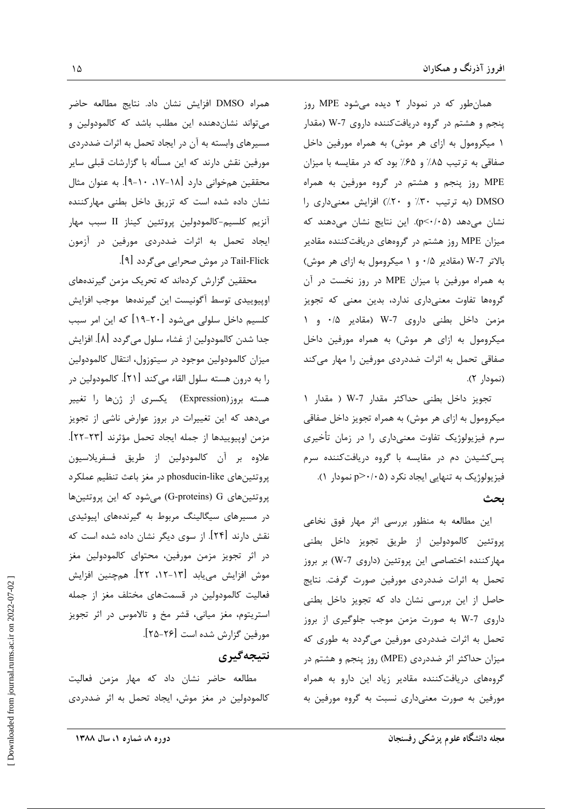همان طور که در نمودار ۲ دیده می شود MPE روز پنجم و هشتم در گروه دریافتکننده داروی W-7 (مقدار ۱ میکرومول به ازای هر موش) به همراه مورفین داخل صفاقی به ترتیب ۸۵٪ و ۶۵٪ بود که در مقایسه با میزان MPE روز پنجم و هشتم در گروه مورفین به همراه DMSO (به ترتیب ۳۰٪ و ۲۰٪) افزایش معنیداری را نشان میدهد (p<٠/٠۵). این نتایج نشان میدهند که میزان MPE روز هشتم در گروههای دریافتکننده مقادیر بالاتر W-7 (مقادیر ۰/۵ و ۱ میکرومول به ازای هر موش) به همراه مورفین با میزان MPE در روز نخست در آن گروهها تفاوت معنىدارى ندارد، بدين معنى كه تجويز مزمن داخل بطنی داروی W-7 (مقادیر ۰/۵ و ۱ میکرومول به ازای هر موش) به همراه مورفین داخل صفاقی تحمل به اثرات ضددردی مورفین را مهار میکند (نمودار ۲).

تجويز داخل بطني حداكثر مقدار 7-W ( مقدار ١ میکرومول به ازای هر موش) به همراه تجویز داخل صفاقی سرم فیزیولوژیک تفاوت معنیداری را در زمان تأخیری پس کشیدن دم در مقایسه با گروه دریافتکننده سرم فیزیولوژیک به تنهایی ایجاد نکرد (p>٠/٠۵ نمودار ۱). ىحث

این مطالعه به منظور بررسی اثر مهار فوق نخاعی پروتئين كالمودولين از طريق تجويز داخل بطني مهارکننده اختصاصی این پروتئین (داروی W-7) بر بروز تحمل به اثرات ضددردی مورفین صورت گرفت. نتایج حاصل از این بررسی نشان داد که تجویز داخل بطنی داروی 7-W به صورت مزمن موجب جلوگیری از بروز تحمل به اثرات ضددردی مورفین میگردد به طوری که میزان حداکثر اثر ضددردی (MPE) روز پنجم و هشتم در گروههای دریافتکننده مقادیر زیاد این دارو به همراه مورفین به صورت معنیداری نسبت به گروه مورفین به

همراه DMSO افزايش نشان داد. نتايج مطالعه حاضر می تواند نشان دهنده این مطلب باشد که کالمودولین و مسیرهای وابسته به آن در ایجاد تحمل به اثرات ضددردی مورفین نقش دارند که این مسأله با گزارشات قبلی سایر محققین همخوانی دارد [۱۸-۱۷، ۱۰-۹]. به عنوان مثال نشان داده شده است که تزریق داخل بطنی مهارکننده آنزیم کلسیم-کالمودولین پروتئین کیناز II سبب مهار ايجاد تحمل به اثرات ضددردى مورفين در آزمون Tail-Flick در موش صحرایی میگردد [۹].

محققین گزارش کردهاند که تحریک مزمن گیرندههای اوپیوییدی توسط أگونیست این گیرندهها موجب افزایش کلسیم داخل سلولی میشود [۲۰-۱۹] که این امر سبب جدا شدن كالمودولين از غشاء سلول ميگردد [٨]. افزايش میزان کالمودولین موجود در سیتوزول، انتقال کالمودولین را به درون هسته سلول القاء میکند [۲۱]. کالمودولین در هسته بروز(Expression) یکسری از ژنها را تغییر می دهد که این تغییرات در بروز عوارض ناشی از تجویز مزمن اوييوييدها از جمله ايجاد تحمل مؤثرند [٢٣-٢٢]. علاوه بر آن كالمودولين از طريق فسفريلاسيون پروتئينهاي phosducin-like در مغز باعث تنظيم عملكرد پروتئینهای G-proteins) G) میشود که این پروتئینها در مسیرهای سیگالینگ مربوط به گیرندههای اپیوئیدی نقش دارند [۲۴]. از سوی دیگر نشان داده شده است که در اثر تجويز مزمن مورفين، محتواي كالمودولين مغز موش افزایش مییابد [۱۳–۱۲، ۲۲]. همچنین افزایش فعالیت کالمودولین در قسمتهای مختلف مغز از جمله استریتوم، مغز میانی، قشر مخ و تالاموس در اثر تجویز مورفين گزارش شده است [۲۶-۲۵].

# نتيجەگېرى

مطالعه حاضر نشان داد که مهار مزمن فعالیت كالمودولين در مغز موش، ايجاد تحمل به اثر ضددردى

مجله دانشگاه علوم پزشکی رفسنجان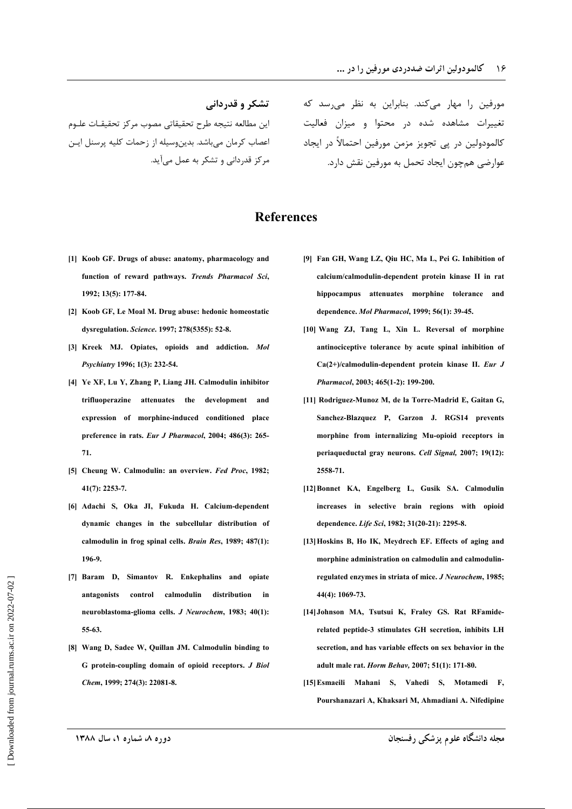تشکر و قدردانی اين مطالعه نتيجه طرح تحقيقاتي مصوب مركز تحقيقـات علـوم اعصاب كرمان مى باشد. بدين وسيله از زحمات كليه پرسنل ايـن مرکز قدردانی و تشکر به عمل می آید.

مورفین را مهار م*ی ک*ند. بنابراین به نظر می سد که تغییرات مشاهده شده در محتوا و میزان فعالیت كالمودولين در يي تجويز مزمن مورفين احتمالاً در ايجاد عوارضي همچون ايجاد تحمل به مورفين نقش دارد.

## **References**

- [1] Koob GF. Drugs of abuse: anatomy, pharmacology and function of reward pathways. Trends Pharmacol Sci, 1992; 13(5): 177-84.
- [2] Koob GF, Le Moal M. Drug abuse: hedonic homeostatic dysregulation. Science. 1997; 278(5355): 52-8.
- [3] Kreek MJ. Opiates, opioids and addiction. Mol Psychiatry 1996; 1(3): 232-54.
- [4] Ye XF, Lu Y, Zhang P, Liang JH. Calmodulin inhibitor trifluonerazine attenuates the develonment and expression of morphine-induced conditioned place preference in rats. Eur J Pharmacol, 2004; 486(3): 265-71.
- [5] Cheung W. Calmodulin: an overview. Fed Proc, 1982;  $41(7): 2253-7.$
- [6] Adachi S, Oka JI, Fukuda H. Calcium-dependent dynamic changes in the subcellular distribution of calmodulin in frog spinal cells. Brain Res, 1989; 487(1): 196-9
- [7] Baram D, Simantov R. Enkephalins and opiate antagonists control calmodulin distribution  $\blacksquare$ neuroblastoma-glioma cells. J Neurochem, 1983; 40(1):  $55-63$
- [8] Wang D, Sadee W, Quillan JM. Calmodulin binding to G protein-coupling domain of opioid receptors. J Biol Chem. 1999: 274(3): 22081-8.
- [9] Fan GH, Wang LZ, Qiu HC, Ma L, Pei G. Inhibition of calcium/calmodulin-dependent protein kinase II in rat hippocampus attenuates morphine tolerance and dependence. Mol Pharmacol, 1999; 56(1): 39-45.
- [10] Wang ZJ, Tang L, Xin L. Reversal of morphine antinociceptive tolerance by acute spinal inhibition of  $Ca(2+)$ /calmodulin-dependent protein kinase II. Eur J Pharmacol, 2003; 465(1-2): 199-200.
- [11] Rodriguez-Munoz M, de la Torre-Madrid E, Gaitan G, Sanchez-Blazquez P. Garzon J. RGS14 prevents morphine from internalizing Mu-opioid receptors in periaqueductal gray neurons. Cell Signal, 2007; 19(12): 2558-71
- [12] Bonnet KA, Engelberg L, Gusik SA. Calmodulin increases in selective brain regions with opioid dependence. Life Sci, 1982; 31(20-21): 2295-8.
- [13] Hoskins B, Ho IK, Meydrech EF. Effects of aging and morphine administration on calmodulin and calmodulinregulated enzymes in striata of mice. J Neurochem, 1985; 44(4): 1069-73.
- [14] Johnson MA, Tsutsui K, Fraley GS. Rat RFamiderelated peptide-3 stimulates GH secretion, inhibits LH secretion, and has variable effects on sex behavior in the adult male rat. Horm Behav, 2007; 51(1): 171-80.
- [15] Esmaeili Mahani S. Vahedi S. Motamedi F. Pourshanazari A, Khaksari M, Ahmadiani A. Nifedipine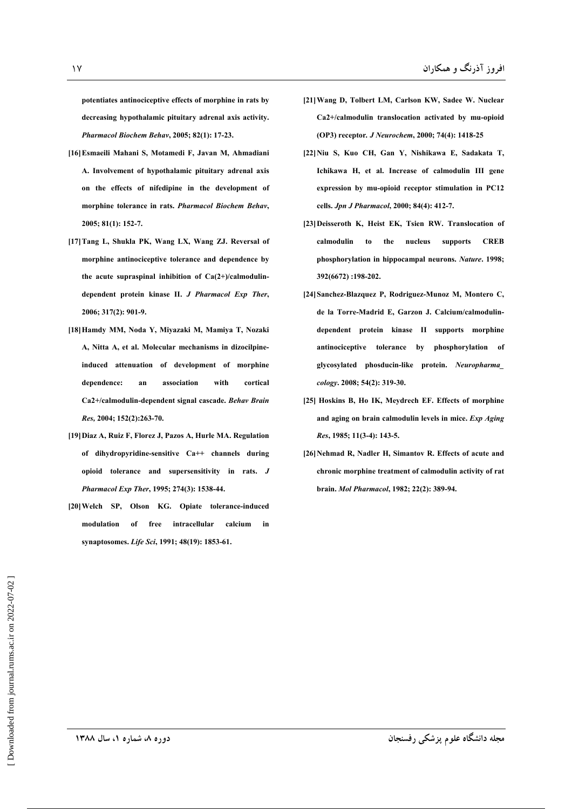potentiates antinociceptive effects of morphine in rats by decreasing hypothalamic pituitary adrenal axis activity. Pharmacol Biochem Behav, 2005; 82(1): 17-23.

- [16] Esmaeili Mahani S, Motamedi F, Javan M, Ahmadiani A. Involvement of hypothalamic pituitary adrenal axis on the effects of nifedipine in the development of morphine tolerance in rats. Pharmacol Biochem Behav, 2005; 81(1): 152-7.
- [17] Tang L, Shukla PK, Wang LX, Wang ZJ. Reversal of morphine antinociceptive tolerance and dependence by the acute supraspinal inhibition of  $Ca(2+)$ /calmodulindependent protein kinase II. J Pharmacol Exp Ther, 2006; 317(2): 901-9.
- [18] Hamdy MM, Noda Y, Mivazaki M, Mamiya T, Nozaki A, Nitta A, et al. Molecular mechanisms in dizocilpineinduced attenuation of development of morphine dependence:  $\overline{a}$ association with cortical Ca2+/calmodulin-dependent signal cascade. Behav Brain Res. 2004; 152(2):263-70.
- [19] Diaz A, Ruiz F, Florez J, Pazos A, Hurle MA. Regulation of dihydropyridine-sensitive  $Ca++$  channels during opioid tolerance and supersensitivity in rats. J Pharmacol Exp Ther, 1995; 274(3): 1538-44.
- [20] Welch SP, Olson KG. Opiate tolerance-induced modulation intracellular of free calcium in synaptosomes. Life Sci, 1991; 48(19): 1853-61.
- [21] Wang D, Tolbert LM, Carlson KW, Sadee W. Nuclear Ca2+/calmodulin translocation activated by mu-opioid (OP3) receptor. *J Neurochem*, 2000; 74(4): 1418-25
- [22] Niu S, Kuo CH, Gan Y, Nishikawa E, Sadakata T, Ichikawa H, et al. Increase of calmodulin III gene expression by mu-opioid receptor stimulation in PC12 cells. Jpn J Pharmacol, 2000; 84(4): 412-7.
- [23] Deisseroth K, Heist EK, Tsien RW. Translocation of calmodulin to the nucleus supports **CREB** phosphorylation in hippocampal neurons. Nature. 1998; 392(6672):198-202.
- [24] Sanchez-Blazquez P, Rodriguez-Munoz M, Montero C, de la Torre-Madrid E, Garzon J. Calcium/calmodulindependent protein kinase II supports morphine antinociceptive tolerance by phosphorylation of glycosylated phosducin-like protein. Neuropharma cology. 2008; 54(2): 319-30.
- [25] Hoskins B, Ho IK, Meydrech EF. Effects of morphine and aging on brain calmodulin levels in mice. Exp Aging Res, 1985; 11(3-4): 143-5.
- [26] Nehmad R, Nadler H, Simantov R. Effects of acute and chronic morphine treatment of calmodulin activity of rat brain. Mol Pharmacol, 1982; 22(2): 389-94.